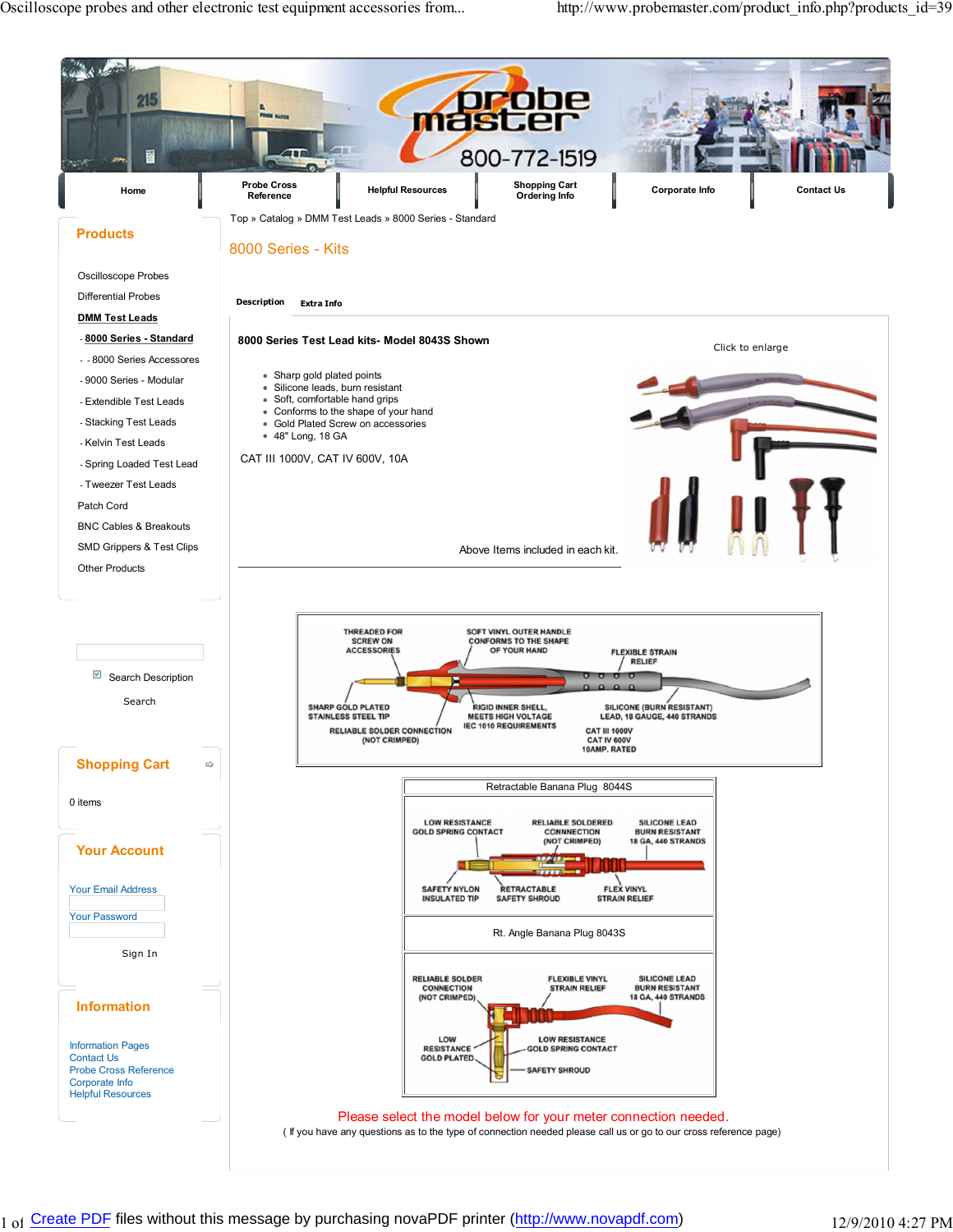